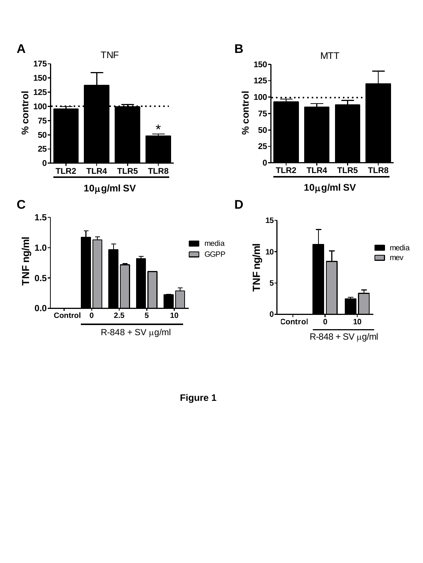



**10g/ml SV**





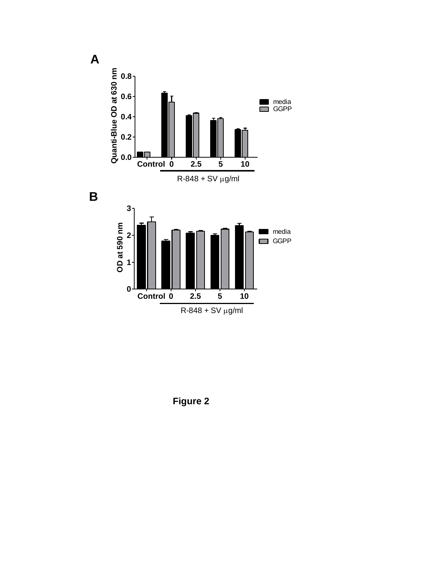

**Figure 2**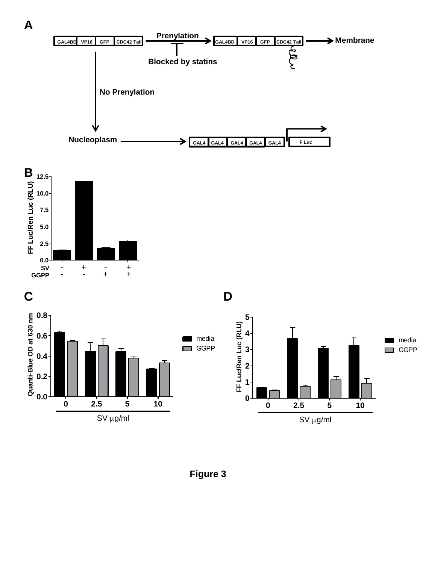

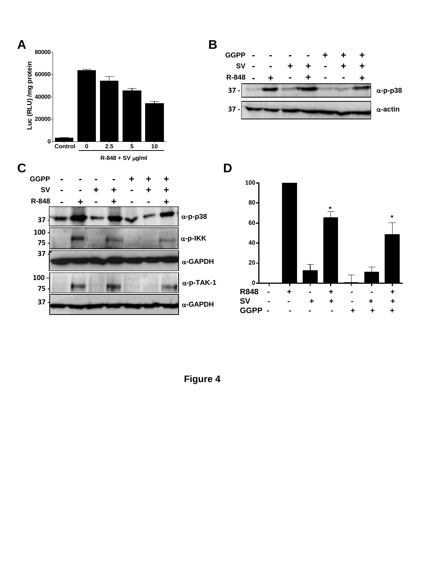



**D**



**Figure 4**